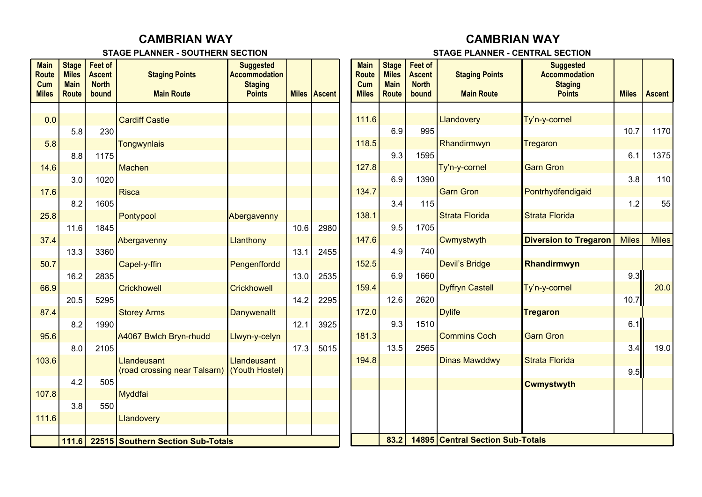## **CAMBRIAN WAY**

#### **STAGE PLANNER - SOUTHERN SECTION**

# **CAMBRIAN WAY**

### **STAGE PLANNER - CENTRAL SECTION**

| <b>Main</b><br><b>Route</b><br>Cum<br><b>Miles</b> | <b>Stage</b><br><b>Miles</b><br><b>Main</b><br><b>Route</b> | <b>Feet of</b><br><b>Ascent</b><br><b>North</b><br>bound | <b>Staging Points</b><br><b>Main Route</b> | <b>Suggested</b><br><b>Accommodation</b><br><b>Staging</b><br><b>Points</b> |      | <b>Miles Ascent</b> | <b>Main</b><br><b>Route</b><br>Cum<br><b>Miles</b> | <b>Stage</b><br><b>Miles</b><br><b>Main</b><br><b>Route</b> | <b>Feet of</b><br><b>Ascent</b><br><b>North</b><br>bound | <b>Staging Points</b><br><b>Main Route</b> | <b>Suggested</b><br><b>Accommodation</b><br><b>Staging</b><br><b>Points</b> | <b>Miles</b> | <b>Ascent</b> |
|----------------------------------------------------|-------------------------------------------------------------|----------------------------------------------------------|--------------------------------------------|-----------------------------------------------------------------------------|------|---------------------|----------------------------------------------------|-------------------------------------------------------------|----------------------------------------------------------|--------------------------------------------|-----------------------------------------------------------------------------|--------------|---------------|
|                                                    |                                                             |                                                          |                                            |                                                                             |      |                     |                                                    |                                                             |                                                          |                                            |                                                                             |              |               |
| 0.0                                                |                                                             |                                                          | <b>Cardiff Castle</b>                      |                                                                             |      |                     | 111.6                                              |                                                             |                                                          | Llandovery                                 | Ty'n-y-cornel                                                               |              |               |
|                                                    | 5.8                                                         | 230                                                      |                                            |                                                                             |      |                     |                                                    | 6.9                                                         | 995                                                      |                                            |                                                                             | 10.7         | 1170          |
| 5.8                                                |                                                             |                                                          | <b>Tongwynlais</b>                         |                                                                             |      |                     | 118.5                                              |                                                             |                                                          | Rhandirmwyn                                | Tregaron                                                                    |              |               |
|                                                    | 8.8                                                         | 1175                                                     |                                            |                                                                             |      |                     |                                                    | 9.3                                                         | 1595                                                     |                                            |                                                                             | 6.1          | 1375          |
| 14.6                                               |                                                             |                                                          | Machen                                     |                                                                             |      |                     | 127.8                                              |                                                             |                                                          | Ty'n-y-cornel                              | <b>Garn Gron</b>                                                            |              |               |
|                                                    | 3.0                                                         | 1020                                                     |                                            |                                                                             |      |                     |                                                    | 6.9                                                         | 1390                                                     |                                            |                                                                             | 3.8          | 110           |
| 17.6                                               |                                                             |                                                          | <b>Risca</b>                               |                                                                             |      |                     | 134.7                                              |                                                             |                                                          | <b>Garn Gron</b>                           | Pontrhydfendigaid                                                           |              |               |
|                                                    | 8.2                                                         | 1605                                                     |                                            |                                                                             |      |                     |                                                    | 3.4                                                         | 115                                                      |                                            |                                                                             | 1.2          | 55            |
| 25.8                                               |                                                             |                                                          | Pontypool                                  | Abergavenny                                                                 |      |                     | 138.1                                              |                                                             |                                                          | <b>Strata Florida</b>                      | <b>Strata Florida</b>                                                       |              |               |
|                                                    | 11.6                                                        | 1845                                                     |                                            |                                                                             | 10.6 | 2980                |                                                    | 9.5                                                         | 1705                                                     |                                            |                                                                             |              |               |
| 37.4                                               |                                                             |                                                          | Abergavenny                                | Llanthony                                                                   |      |                     | 147.6                                              |                                                             |                                                          | Cwmystwyth                                 | <b>Diversion to Tregaron</b>                                                | <b>Miles</b> | <b>Miles</b>  |
|                                                    | 13.3                                                        | 3360                                                     |                                            |                                                                             | 13.1 | 2455                |                                                    | 4.9                                                         | 740                                                      |                                            |                                                                             |              |               |
| 50.7                                               |                                                             |                                                          | Capel-y-ffin                               | Pengenffordd                                                                |      |                     | 152.5                                              |                                                             |                                                          | <b>Devil's Bridge</b>                      | Rhandirmwyn                                                                 |              |               |
|                                                    | 16.2                                                        | 2835                                                     |                                            |                                                                             | 13.0 | 2535                |                                                    | 6.9                                                         | 1660                                                     |                                            |                                                                             | 9.3          |               |
| 66.9                                               |                                                             |                                                          | <b>Crickhowell</b>                         | <b>Crickhowell</b>                                                          |      |                     | 159.4                                              |                                                             | 2620                                                     | <b>Dyffryn Castell</b>                     | Ty'n-y-cornel                                                               |              | 20.0          |
| 87.4                                               | 20.5                                                        | 5295                                                     |                                            |                                                                             | 14.2 | 2295                | 172.0                                              | 12.6                                                        |                                                          | <b>Dylife</b>                              |                                                                             | 10.7         |               |
|                                                    | 8.2                                                         | 1990                                                     | <b>Storey Arms</b>                         | <b>Danywenallt</b>                                                          | 12.1 | 3925                |                                                    | 9.3                                                         | 1510                                                     |                                            | <b>Tregaron</b>                                                             | 6.1          |               |
| 95.6                                               |                                                             |                                                          | A4067 Bwlch Bryn-rhudd                     | Llwyn-y-celyn                                                               |      |                     | 181.3                                              |                                                             |                                                          | <b>Commins Coch</b>                        | <b>Garn Gron</b>                                                            |              |               |
|                                                    | 8.0                                                         | 2105                                                     |                                            |                                                                             | 17.3 | 5015                |                                                    | 13.5                                                        | 2565                                                     |                                            |                                                                             | 3.4          | 19.0          |
| 103.6                                              |                                                             |                                                          | Llandeusant                                | Llandeusant                                                                 |      |                     | 194.8                                              |                                                             |                                                          | <b>Dinas Mawddwy</b>                       | <b>Strata Florida</b>                                                       |              |               |
|                                                    |                                                             |                                                          | (road crossing near Talsarn)               | (Youth Hostel)                                                              |      |                     |                                                    |                                                             |                                                          |                                            |                                                                             | 9.5          |               |
|                                                    | 4.2                                                         | 505                                                      |                                            |                                                                             |      |                     |                                                    |                                                             |                                                          |                                            | <b>Cwmystwyth</b>                                                           |              |               |
| 107.8                                              |                                                             |                                                          | Myddfai                                    |                                                                             |      |                     |                                                    |                                                             |                                                          |                                            |                                                                             |              |               |
|                                                    | 3.8                                                         | 550                                                      |                                            |                                                                             |      |                     |                                                    |                                                             |                                                          |                                            |                                                                             |              |               |
| 111.6                                              |                                                             |                                                          | Llandovery                                 |                                                                             |      |                     |                                                    |                                                             |                                                          |                                            |                                                                             |              |               |
|                                                    |                                                             |                                                          |                                            |                                                                             |      |                     |                                                    |                                                             |                                                          |                                            |                                                                             |              |               |
|                                                    | 111.6                                                       |                                                          | 22515 Southern Section Sub-Totals          |                                                                             | 83.2 |                     | 14895 Central Section Sub-Totals                   |                                                             |                                                          |                                            |                                                                             |              |               |